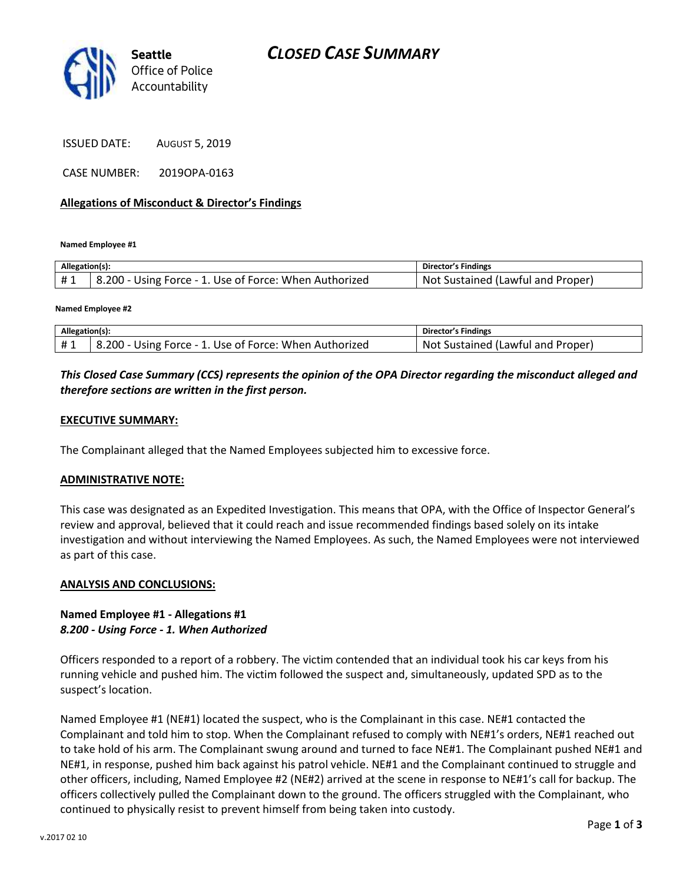

ISSUED DATE: AUGUST 5, 2019

CASE NUMBER: 2019OPA-0163

#### **Allegations of Misconduct & Director's Findings**

**Named Employee #1**

| Allegation(s): |                                                        | Director's Findings                     |
|----------------|--------------------------------------------------------|-----------------------------------------|
|                | B.200 - Using Force - 1. Use of Force: When Authorized | : Sustained (Lawful and Proper)<br>Not. |

**Named Employee #2**

| Allegation(s): |                                                        | <b>Director's Findings</b>        |
|----------------|--------------------------------------------------------|-----------------------------------|
| #1             | 8.200 - Using Force - 1. Use of Force: When Authorized | Not Sustained (Lawful and Proper) |

## *This Closed Case Summary (CCS) represents the opinion of the OPA Director regarding the misconduct alleged and therefore sections are written in the first person.*

#### **EXECUTIVE SUMMARY:**

The Complainant alleged that the Named Employees subjected him to excessive force.

#### **ADMINISTRATIVE NOTE:**

This case was designated as an Expedited Investigation. This means that OPA, with the Office of Inspector General's review and approval, believed that it could reach and issue recommended findings based solely on its intake investigation and without interviewing the Named Employees. As such, the Named Employees were not interviewed as part of this case.

#### **ANALYSIS AND CONCLUSIONS:**

### **Named Employee #1 - Allegations #1** *8.200 - Using Force - 1. When Authorized*

Officers responded to a report of a robbery. The victim contended that an individual took his car keys from his running vehicle and pushed him. The victim followed the suspect and, simultaneously, updated SPD as to the suspect's location.

Named Employee #1 (NE#1) located the suspect, who is the Complainant in this case. NE#1 contacted the Complainant and told him to stop. When the Complainant refused to comply with NE#1's orders, NE#1 reached out to take hold of his arm. The Complainant swung around and turned to face NE#1. The Complainant pushed NE#1 and NE#1, in response, pushed him back against his patrol vehicle. NE#1 and the Complainant continued to struggle and other officers, including, Named Employee #2 (NE#2) arrived at the scene in response to NE#1's call for backup. The officers collectively pulled the Complainant down to the ground. The officers struggled with the Complainant, who continued to physically resist to prevent himself from being taken into custody.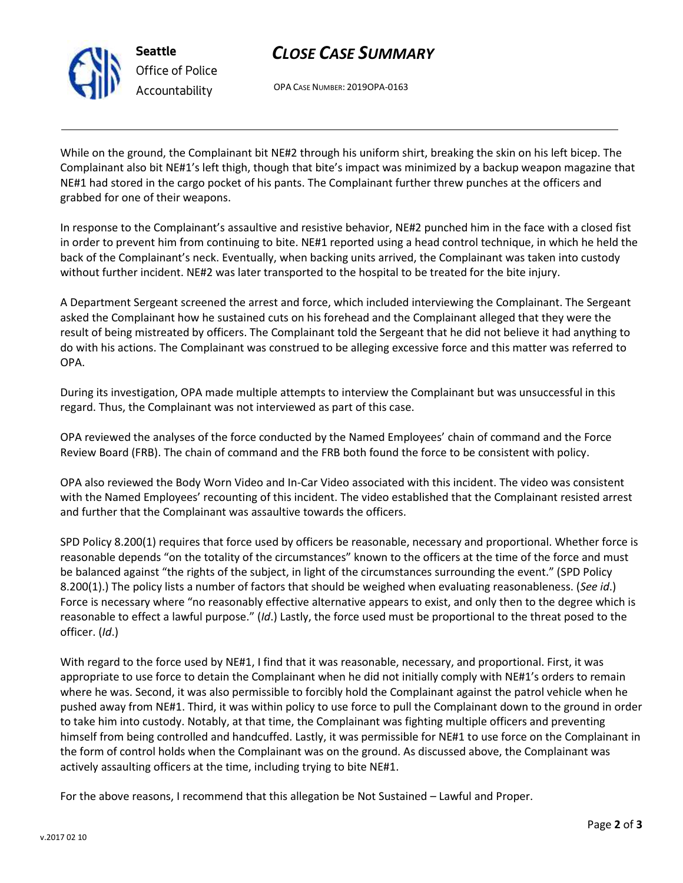

# *CLOSE CASE SUMMARY*

OPA CASE NUMBER: 2019OPA-0163

While on the ground, the Complainant bit NE#2 through his uniform shirt, breaking the skin on his left bicep. The Complainant also bit NE#1's left thigh, though that bite's impact was minimized by a backup weapon magazine that NE#1 had stored in the cargo pocket of his pants. The Complainant further threw punches at the officers and grabbed for one of their weapons.

In response to the Complainant's assaultive and resistive behavior, NE#2 punched him in the face with a closed fist in order to prevent him from continuing to bite. NE#1 reported using a head control technique, in which he held the back of the Complainant's neck. Eventually, when backing units arrived, the Complainant was taken into custody without further incident. NE#2 was later transported to the hospital to be treated for the bite injury.

A Department Sergeant screened the arrest and force, which included interviewing the Complainant. The Sergeant asked the Complainant how he sustained cuts on his forehead and the Complainant alleged that they were the result of being mistreated by officers. The Complainant told the Sergeant that he did not believe it had anything to do with his actions. The Complainant was construed to be alleging excessive force and this matter was referred to OPA.

During its investigation, OPA made multiple attempts to interview the Complainant but was unsuccessful in this regard. Thus, the Complainant was not interviewed as part of this case.

OPA reviewed the analyses of the force conducted by the Named Employees' chain of command and the Force Review Board (FRB). The chain of command and the FRB both found the force to be consistent with policy.

OPA also reviewed the Body Worn Video and In-Car Video associated with this incident. The video was consistent with the Named Employees' recounting of this incident. The video established that the Complainant resisted arrest and further that the Complainant was assaultive towards the officers.

SPD Policy 8.200(1) requires that force used by officers be reasonable, necessary and proportional. Whether force is reasonable depends "on the totality of the circumstances" known to the officers at the time of the force and must be balanced against "the rights of the subject, in light of the circumstances surrounding the event." (SPD Policy 8.200(1).) The policy lists a number of factors that should be weighed when evaluating reasonableness. (*See id*.) Force is necessary where "no reasonably effective alternative appears to exist, and only then to the degree which is reasonable to effect a lawful purpose." (*Id*.) Lastly, the force used must be proportional to the threat posed to the officer. (*Id*.)

With regard to the force used by NE#1, I find that it was reasonable, necessary, and proportional. First, it was appropriate to use force to detain the Complainant when he did not initially comply with NE#1's orders to remain where he was. Second, it was also permissible to forcibly hold the Complainant against the patrol vehicle when he pushed away from NE#1. Third, it was within policy to use force to pull the Complainant down to the ground in order to take him into custody. Notably, at that time, the Complainant was fighting multiple officers and preventing himself from being controlled and handcuffed. Lastly, it was permissible for NE#1 to use force on the Complainant in the form of control holds when the Complainant was on the ground. As discussed above, the Complainant was actively assaulting officers at the time, including trying to bite NE#1.

For the above reasons, I recommend that this allegation be Not Sustained – Lawful and Proper.